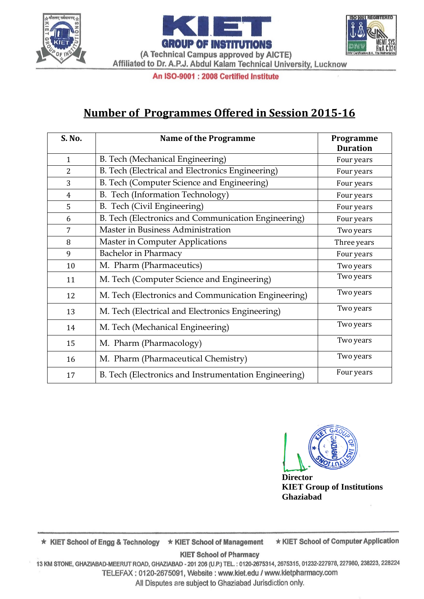





An ISO-9001 : 2008 Certified Institute

# **Number of Programmes Offered in Session 2015-16**

| S. No.         | <b>Name of the Programme</b>                          | Programme       |
|----------------|-------------------------------------------------------|-----------------|
|                |                                                       | <b>Duration</b> |
| $\mathbf{1}$   | B. Tech (Mechanical Engineering)                      | Four years      |
| $\overline{2}$ | B. Tech (Electrical and Electronics Engineering)      | Four years      |
| 3              | B. Tech (Computer Science and Engineering)            | Four years      |
| $\overline{4}$ | B. Tech (Information Technology)                      | Four years      |
| 5              | B. Tech (Civil Engineering)                           | Four years      |
| 6              | B. Tech (Electronics and Communication Engineering)   | Four years      |
| 7              | Master in Business Administration                     | Two years       |
| 8              | <b>Master in Computer Applications</b>                | Three years     |
| 9              | <b>Bachelor</b> in Pharmacy                           | Four years      |
| 10             | M. Pharm (Pharmaceutics)                              | Two years       |
| 11             | M. Tech (Computer Science and Engineering)            | Two years       |
| 12             | M. Tech (Electronics and Communication Engineering)   | Two years       |
| 13             | M. Tech (Electrical and Electronics Engineering)      | Two years       |
| 14             | M. Tech (Mechanical Engineering)                      | Two years       |
| 15             | M. Pharm (Pharmacology)                               | Two years       |
| 16             | M. Pharm (Pharmaceutical Chemistry)                   | Two years       |
| 17             | B. Tech (Electronics and Instrumentation Engineering) | Four years      |



**Director KIET Group of Institutions Ghaziabad**

\* KIET School of Computer Application ★ KIET School of Engg & Technology ★ KIET School of Management

**KIET School of Pharmacy** 

13 KM STONE, GHAZIABAD-MEERUT ROAD, GHAZIABAD - 201 206 (U.P.) TEL.: 0120-2675314, 2675315, 01232-227978, 227980, 238223, 228224 TELEFAX: 0120-2675091, Website: www.kiet.edu / www.kietpharmacy.com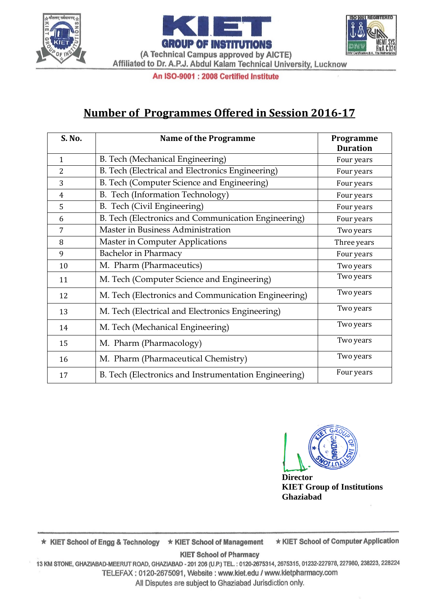





An ISO-9001 : 2008 Certified Institute

# **Number of Programmes Offered in Session 2016-17**

| S. No.         | <b>Name of the Programme</b>                          | Programme       |
|----------------|-------------------------------------------------------|-----------------|
|                |                                                       | <b>Duration</b> |
| 1              | B. Tech (Mechanical Engineering)                      | Four years      |
| 2              | B. Tech (Electrical and Electronics Engineering)      | Four years      |
| 3              | B. Tech (Computer Science and Engineering)            | Four years      |
| $\overline{4}$ | B. Tech (Information Technology)                      | Four years      |
| 5              | B. Tech (Civil Engineering)                           | Four years      |
| 6              | B. Tech (Electronics and Communication Engineering)   | Four years      |
| 7              | Master in Business Administration                     | Two years       |
| 8              | <b>Master in Computer Applications</b>                | Three years     |
| 9              | <b>Bachelor</b> in Pharmacy                           | Four years      |
| 10             | M. Pharm (Pharmaceutics)                              | Two years       |
| 11             | M. Tech (Computer Science and Engineering)            | Two years       |
| 12             | M. Tech (Electronics and Communication Engineering)   | Two years       |
| 13             | M. Tech (Electrical and Electronics Engineering)      | Two years       |
| 14             | M. Tech (Mechanical Engineering)                      | Two years       |
| 15             | M. Pharm (Pharmacology)                               | Two years       |
| 16             | M. Pharm (Pharmaceutical Chemistry)                   | Two years       |
| 17             | B. Tech (Electronics and Instrumentation Engineering) | Four years      |



**Director KIET Group of Institutions Ghaziabad**

\* KIET School of Computer Application ★ KIET School of Engg & Technology ★ KIET School of Management

**KIET School of Pharmacy** 

13 KM STONE, GHAZIABAD-MEERUT ROAD, GHAZIABAD - 201 206 (U.P.) TEL.: 0120-2675314, 2675315, 01232-227978, 227980, 238223, 228224 TELEFAX: 0120-2675091, Website: www.kiet.edu / www.kietpharmacy.com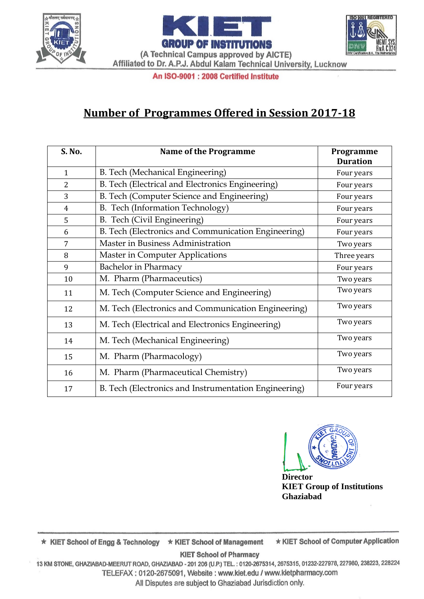



An ISO-9001 : 2008 Certified Institute

# **Number of Programmes Offered in Session 2017-18**

| S. No.         | <b>Name of the Programme</b>                          | Programme       |
|----------------|-------------------------------------------------------|-----------------|
|                |                                                       | <b>Duration</b> |
| $\mathbf{1}$   | B. Tech (Mechanical Engineering)                      | Four years      |
| $\overline{2}$ | B. Tech (Electrical and Electronics Engineering)      | Four years      |
| 3              | B. Tech (Computer Science and Engineering)            | Four years      |
| $\overline{4}$ | B. Tech (Information Technology)                      | Four years      |
| 5              | B. Tech (Civil Engineering)                           | Four years      |
| 6              | B. Tech (Electronics and Communication Engineering)   | Four years      |
| 7              | Master in Business Administration                     | Two years       |
| 8              | Master in Computer Applications                       | Three years     |
| 9              | <b>Bachelor</b> in Pharmacy                           | Four years      |
| 10             | M. Pharm (Pharmaceutics)                              | Two years       |
| 11             | M. Tech (Computer Science and Engineering)            | Two years       |
| 12             | M. Tech (Electronics and Communication Engineering)   | Two years       |
| 13             | M. Tech (Electrical and Electronics Engineering)      | Two years       |
| 14             | M. Tech (Mechanical Engineering)                      | Two years       |
| 15             | M. Pharm (Pharmacology)                               | Two years       |
| 16             | M. Pharm (Pharmaceutical Chemistry)                   | Two years       |
| 17             | B. Tech (Electronics and Instrumentation Engineering) | Four years      |



**Director KIET Group of Institutions Ghaziabad**

**ISO 9001 REGISTERED** 

\* KIET School of Computer Application ★ KIET School of Engg & Technology ★ KIET School of Management

**KIET School of Pharmacy** 

13 KM STONE, GHAZIABAD-MEERUT ROAD, GHAZIABAD - 201 206 (U.P.) TEL.: 0120-2675314, 2675315, 01232-227978, 227980, 238223, 228224 TELEFAX: 0120-2675091, Website: www.kiet.edu / www.kietpharmacy.com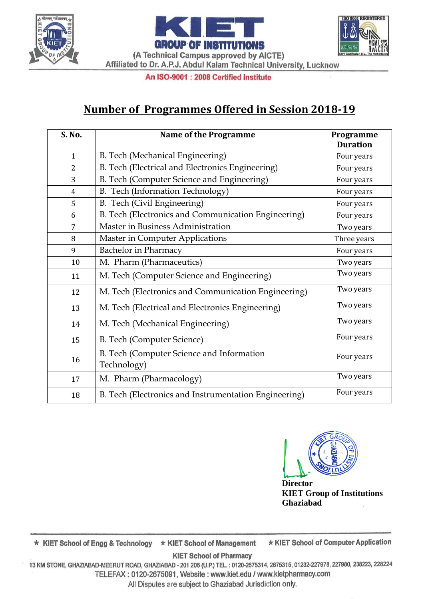





(A Technical Campus approved by AICTE) Affiliated to Dr. A.P.J. Abdul Kalam Technical University, Lucknow

#### An ISO-9001 : 2008 Certified Institute

### **Number of Programmes Offered in Session 2018-19**

| S. No.         | <b>Name of the Programme</b>                             | Programme<br><b>Duration</b> |
|----------------|----------------------------------------------------------|------------------------------|
| $\mathbf{1}$   | B. Tech (Mechanical Engineering)                         | Four years                   |
| $\overline{2}$ | B. Tech (Electrical and Electronics Engineering)         | Four years                   |
| 3              | B. Tech (Computer Science and Engineering)               | Four years                   |
| 4              | B. Tech (Information Technology)                         | Four years                   |
| 5              | B. Tech (Civil Engineering)                              | Four years                   |
| 6              | B. Tech (Electronics and Communication Engineering)      | Four years                   |
| 7              | Master in Business Administration                        | Two years                    |
| 8              | Master in Computer Applications                          | Three years                  |
| 9              | <b>Bachelor</b> in Pharmacy                              | Four years                   |
| 10             | M. Pharm (Pharmaceutics)                                 | Two years                    |
| 11             | M. Tech (Computer Science and Engineering)               | Two years                    |
| 12             | M. Tech (Electronics and Communication Engineering)      | Two years                    |
| 13             | M. Tech (Electrical and Electronics Engineering)         | Two years                    |
| 14             | M. Tech (Mechanical Engineering)                         | Two years                    |
| 15             | B. Tech (Computer Science)                               | Four years                   |
| 16             | B. Tech (Computer Science and Information<br>Technology) | Four years                   |
| 17             | M. Pharm (Pharmacology)                                  | Two years                    |
| 18             | B. Tech (Electronics and Instrumentation Engineering)    | Four years                   |



**Director KIET Group of Institutions Ghaziabad**

\* KIET School of Computer Application \* KIET School of Engg & Technology \* KIET School of Management

**KIET School of Pharmacy** 

13 KM STONE, GHAZIABAD-MEERUT ROAD, GHAZIABAD - 201 206 (U.P.) TEL.: 0120-2675314, 2675315, 01232-227978, 227980, 238223, 228224 TELEFAX: 0120-2675091, Website: www.kiet.edu / www.kietpharmacy.com